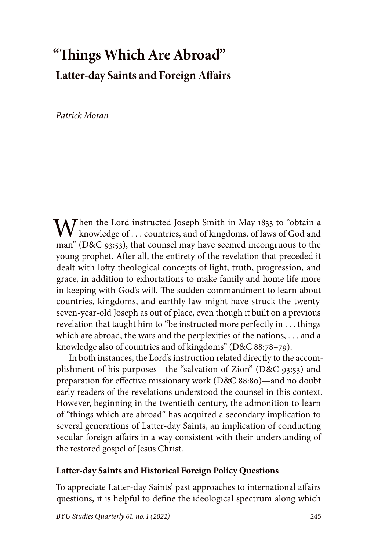# **"Things Which Are Abroad" Latter-day Saints and Foreign Affairs**

*Patrick Moran*

 $\mathbf{M}$  hen the Lord instructed Joseph Smith in May 1833 to "obtain a knowledge of  $\dots$  countries, and of kingdoms, of laws of God and man" (D&C 93:53), that counsel may have seemed incongruous to the young prophet. After all, the entirety of the revelation that preceded it dealt with lofty theological concepts of light, truth, progression, and grace, in addition to exhortations to make family and home life more in keeping with God's will. The sudden commandment to learn about countries, kingdoms, and earthly law might have struck the twentyseven-year-old Joseph as out of place, even though it built on a previous revelation that taught him to "be instructed more perfectly in . . . things which are abroad; the wars and the perplexities of the nations, . . . and a knowledge also of countries and of kingdoms" (D&C 88:78–79).

In both instances, the Lord's instruction related directly to the accomplishment of his purposes—the "salvation of Zion" (D&C 93:53) and preparation for effective missionary work (D&C 88:80)—and no doubt early readers of the revelations understood the counsel in this context. However, beginning in the twentieth century, the admonition to learn of "things which are abroad" has acquired a secondary implication to several generations of Latter-day Saints, an implication of conducting secular foreign affairs in a way consistent with their understanding of the restored gospel of Jesus Christ.

## **Latter-day Saints and Historical Foreign Policy Questions**

To appreciate Latter-day Saints' past approaches to international affairs questions, it is helpful to define the ideological spectrum along which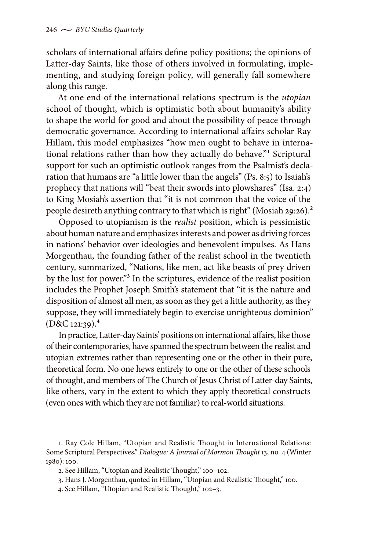scholars of international affairs define policy positions; the opinions of Latter-day Saints, like those of others involved in formulating, implementing, and studying foreign policy, will generally fall somewhere along this range.

At one end of the international relations spectrum is the *utopian* school of thought, which is optimistic both about humanity's ability to shape the world for good and about the possibility of peace through democratic governance. According to international affairs scholar Ray Hillam, this model emphasizes "how men ought to behave in international relations rather than how they actually do behave."<sup>1</sup> Scriptural support for such an optimistic outlook ranges from the Psalmist's declaration that humans are "a little lower than the angels" (Ps. 8:5) to Isaiah's prophecy that nations will "beat their swords into plowshares" (Isa. 2:4) to King Mosiah's assertion that "it is not common that the voice of the people desireth anything contrary to that which is right" (Mosiah 29:26).<sup>2</sup>

Opposed to utopianism is the *realist* position, which is pessimistic about human nature and emphasizes interests and power as driving forces in nations' behavior over ideologies and benevolent impulses. As Hans Morgenthau, the founding father of the realist school in the twentieth century, summarized, "Nations, like men, act like beasts of prey driven by the lust for power."3 In the scriptures, evidence of the realist position includes the Prophet Joseph Smith's statement that "it is the nature and disposition of almost all men, as soon as they get a little authority, as they suppose, they will immediately begin to exercise unrighteous dominion"  $(D&C$  121:39).<sup>4</sup>

In practice, Latter-day Saints' positions on international affairs, like those of their contemporaries, have spanned the spectrum between the realist and utopian extremes rather than representing one or the other in their pure, theoretical form. No one hews entirely to one or the other of these schools of thought, and members of The Church of Jesus Christ of Latter-day Saints, like others, vary in the extent to which they apply theoretical constructs (even ones with which they are not familiar) to real-world situations.

4. See Hillam, "Utopian and Realistic Thought," 102–3.

<sup>1.</sup> Ray Cole Hillam, "Utopian and Realistic Thought in International Relations: Some Scriptural Perspectives," *Dialogue: A Journal of Mormon Thought* 13, no. 4 (Winter 1980): 100.

<sup>2.</sup> See Hillam, "Utopian and Realistic Thought," 100–102.

<sup>3.</sup> Hans J. Morgenthau, quoted in Hillam, "Utopian and Realistic Thought," 100.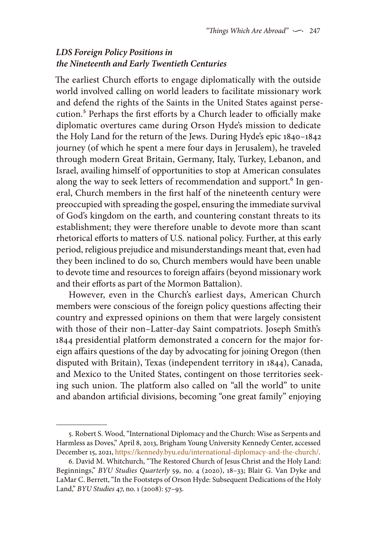# *LDS Foreign Policy Positions in the Nineteenth and Early Twentieth Centuries*

The earliest Church efforts to engage diplomatically with the outside world involved calling on world leaders to facilitate missionary work and defend the rights of the Saints in the United States against persecution.<sup>5</sup> Perhaps the first efforts by a Church leader to officially make diplomatic overtures came during Orson Hyde's mission to dedicate the Holy Land for the return of the Jews. During Hyde's epic 1840–1842 journey (of which he spent a mere four days in Jerusalem), he traveled through modern Great Britain, Germany, Italy, Turkey, Lebanon, and Israel, availing himself of opportunities to stop at American consulates along the way to seek letters of recommendation and support.<sup>6</sup> In general, Church members in the first half of the nineteenth century were preoccupied with spreading the gospel, ensuring the immediate survival of God's kingdom on the earth, and countering constant threats to its establishment; they were therefore unable to devote more than scant rhetorical efforts to matters of U.S. national policy. Further, at this early period, religious prejudice and misunderstandings meant that, even had they been inclined to do so, Church members would have been unable to devote time and resources to foreign affairs (beyond missionary work and their efforts as part of the Mormon Battalion).

However, even in the Church's earliest days, American Church members were conscious of the foreign policy questions affecting their country and expressed opinions on them that were largely consistent with those of their non–Latter-day Saint compatriots. Joseph Smith's 1844 presidential platform demonstrated a concern for the major foreign affairs questions of the day by advocating for joining Oregon (then disputed with Britain), Texas (independent territory in 1844), Canada, and Mexico to the United States, contingent on those territories seeking such union. The platform also called on "all the world" to unite and abandon artificial divisions, becoming "one great family" enjoying

<sup>5.</sup> Robert S. Wood, "International Diplomacy and the Church: Wise as Serpents and Harmless as Doves," April 8, 2013, Brigham Young University Kennedy Center, accessed December 15, 2021,<https://kennedy.byu.edu/international-diplomacy-and-the-church/>.

<sup>6.</sup> David M. Whitchurch, "The Restored Church of Jesus Christ and the Holy Land: Beginnings," *BYU Studies Quarterly* 59, no. 4 (2020), 18–33; Blair G. Van Dyke and LaMar C. Berrett, "In the Footsteps of Orson Hyde: Subsequent Dedications of the Holy Land," *BYU Studies* 47, no. 1 (2008): 57–93.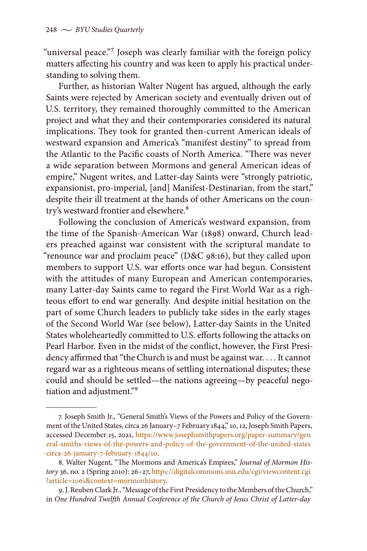"universal peace."<sup>7</sup> Joseph was clearly familiar with the foreign policy matters affecting his country and was keen to apply his practical understanding to solving them.

Further, as historian Walter Nugent has argued, although the early Saints were rejected by American society and eventually driven out of U.S. territory, they remained thoroughly committed to the American project and what they and their contemporaries considered its natural implications. They took for granted then-current American ideals of westward expansion and America's "manifest destiny" to spread from the Atlantic to the Pacific coasts of North America. "There was never a wide separation between Mormons and general American ideas of empire," Nugent writes, and Latter-day Saints were "strongly patriotic, expansionist, pro-imperial, [and] Manifest-Destinarian, from the start," despite their ill treatment at the hands of other Americans on the country's westward frontier and elsewhere.<sup>8</sup>

Following the conclusion of America's westward expansion, from the time of the Spanish-American War (1898) onward, Church leaders preached against war consistent with the scriptural mandate to "renounce war and proclaim peace" (D&C 98:16), but they called upon members to support U.S. war efforts once war had begun. Consistent with the attitudes of many European and American contemporaries, many Latter-day Saints came to regard the First World War as a righteous effort to end war generally. And despite initial hesitation on the part of some Church leaders to publicly take sides in the early stages of the Second World War (see below), Latter-day Saints in the United States wholeheartedly committed to U.S. efforts following the attacks on Pearl Harbor. Even in the midst of the conflict, however, the First Presidency affirmed that "the Church is and must be against war. . . . It cannot regard war as a righteous means of settling international disputes; these could and should be settled—the nations agreeing—by peaceful negotiation and adjustment."9

<sup>7.</sup> Joseph Smith Jr., "General Smith's Views of the Powers and Policy of the Government of the United States, circa 26 January–7 February 1844," 10, 12, Joseph Smith Papers, accessed December 15, 2021, [https://www.josephsmithpapers.org/paper-summary/gen](https://www.josephsmithpapers.org/paper-summary/general-smiths-views-of-the-powers-and-policy-of-the-government-of-the-united-states-circa-26-january-7-february-1844/10) [eral-smiths-views-of-the-powers-and-policy-of-the-government-of-the-united-states](https://www.josephsmithpapers.org/paper-summary/general-smiths-views-of-the-powers-and-policy-of-the-government-of-the-united-states-circa-26-january-7-february-1844/10) [-circa-26-january-7-february-1844/10](https://www.josephsmithpapers.org/paper-summary/general-smiths-views-of-the-powers-and-policy-of-the-government-of-the-united-states-circa-26-january-7-february-1844/10).

<sup>8.</sup> Walter Nugent, "The Mormons and America's Empires," *Journal of Mormon History* 36, no. 2 (Spring 2010): 26–27, [https://digitalcommons.usu.edu/cgi/viewcontent.cgi](https://digitalcommons.usu.edu/cgi/viewcontent.cgi?article=106%5Chich%5Caf1%5Cdbch%5Caf1%5Cloch%5Cf1) [?article=1061&context=mormonhistory](https://digitalcommons.usu.edu/cgi/viewcontent.cgi?article=106%5Chich%5Caf1%5Cdbch%5Caf1%5Cloch%5Cf1).

<sup>9.</sup> J. Reuben Clark Jr., "Message of the First Presidency to the Members of the Church," in *One Hundred Twelfth Annual Conference of the Church of Jesus Christ of Latter-day*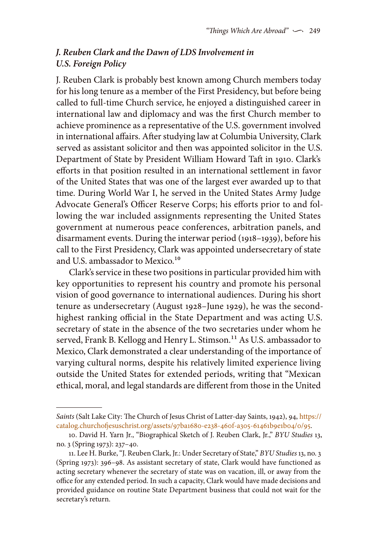# *J. Reuben Clark and the Dawn of LDS Involvement in U.S. Foreign Policy*

J. Reuben Clark is probably best known among Church members today for his long tenure as a member of the First Presidency, but before being called to full-time Church service, he enjoyed a distinguished career in international law and diplomacy and was the first Church member to achieve prominence as a representative of the U.S. government involved in international affairs. After studying law at Columbia University, Clark served as assistant solicitor and then was appointed solicitor in the U.S. Department of State by President William Howard Taft in 1910. Clark's efforts in that position resulted in an international settlement in favor of the United States that was one of the largest ever awarded up to that time. During World War I, he served in the United States Army Judge Advocate General's Officer Reserve Corps; his efforts prior to and following the war included assignments representing the United States government at numerous peace conferences, arbitration panels, and disarmament events. During the interwar period (1918–1939), before his call to the First Presidency, Clark was appointed undersecretary of state and U.S. ambassador to Mexico.<sup>10</sup>

Clark's service in these two positions in particular provided him with key opportunities to represent his country and promote his personal vision of good governance to international audiences. During his short tenure as undersecretary (August 1928–June 1929), he was the secondhighest ranking official in the State Department and was acting U.S. secretary of state in the absence of the two secretaries under whom he served, Frank B. Kellogg and Henry L. Stimson.<sup>11</sup> As U.S. ambassador to Mexico, Clark demonstrated a clear understanding of the importance of varying cultural norms, despite his relatively limited experience living outside the United States for extended periods, writing that "Mexican ethical, moral, and legal standards are different from those in the United

*Saints* (Salt Lake City: The Church of Jesus Christ of Latter-day Saints, 1942), 94, [https://](https://catalog.churchofjesuschrist.org/assets/97ba1680-e238-460f-a305-61461b9e1b04/0/95) [catalog.churchofjesuschrist.org/assets/97ba1680-e238-460f-a305-61461b9e1b04/0/95.](https://catalog.churchofjesuschrist.org/assets/97ba1680-e238-460f-a305-61461b9e1b04/0/95)

<sup>10.</sup> David H. Yarn Jr., "Biographical Sketch of J. Reuben Clark, Jr.," *BYU Studies* 13, no. 3 (Spring 1973): 237–40.

<sup>11.</sup> Lee H. Burke, "J. Reuben Clark, Jr.: Under Secretary of State," *BYU Studies* 13, no. 3 (Spring 1973): 396–98. As assistant secretary of state, Clark would have functioned as acting secretary whenever the secretary of state was on vacation, ill, or away from the office for any extended period. In such a capacity, Clark would have made decisions and provided guidance on routine State Department business that could not wait for the secretary's return.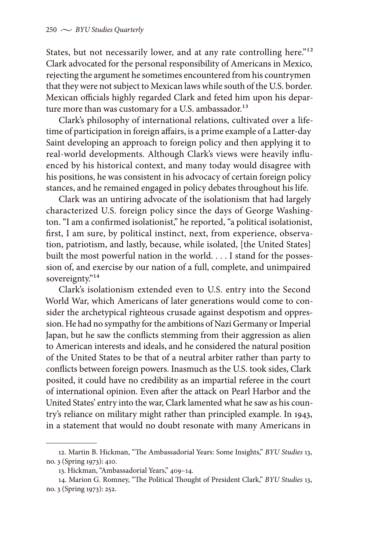States, but not necessarily lower, and at any rate controlling here."<sup>12</sup> Clark advocated for the personal responsibility of Americans in Mexico, rejecting the argument he sometimes encountered from his countrymen that they were not subject to Mexican laws while south of the U.S. border. Mexican officials highly regarded Clark and feted him upon his departure more than was customary for a U.S. ambassador.<sup>13</sup>

Clark's philosophy of international relations, cultivated over a lifetime of participation in foreign affairs, is a prime example of a Latter-day Saint developing an approach to foreign policy and then applying it to real-world developments. Although Clark's views were heavily influenced by his historical context, and many today would disagree with his positions, he was consistent in his advocacy of certain foreign policy stances, and he remained engaged in policy debates throughout his life.

Clark was an untiring advocate of the isolationism that had largely characterized U.S. foreign policy since the days of George Washington. "I am a confirmed isolationist," he reported, "a political isolationist, first, I am sure, by political instinct, next, from experience, observation, patriotism, and lastly, because, while isolated, [the United States] built the most powerful nation in the world. . . . I stand for the possession of, and exercise by our nation of a full, complete, and unimpaired sovereignty."<sup>14</sup>

Clark's isolationism extended even to U.S. entry into the Second World War, which Americans of later generations would come to consider the archetypical righteous crusade against despotism and oppression. He had no sympathy for the ambitions of Nazi Germany or Imperial Japan, but he saw the conflicts stemming from their aggression as alien to American interests and ideals, and he considered the natural position of the United States to be that of a neutral arbiter rather than party to conflicts between foreign powers. Inasmuch as the U.S. took sides, Clark posited, it could have no credibility as an impartial referee in the court of international opinion. Even after the attack on Pearl Harbor and the United States' entry into the war, Clark lamented what he saw as his country's reliance on military might rather than principled example. In 1943, in a statement that would no doubt resonate with many Americans in

<sup>12.</sup> Martin B. Hickman, "The Ambassadorial Years: Some Insights," *BYU Studies* 13, no. 3 (Spring 1973): 410.

<sup>13.</sup> Hickman, "Ambassadorial Years," 409–14.

<sup>14.</sup> Marion G. Romney, "The Political Thought of President Clark," *BYU Studies* 13, no. 3 (Spring 1973): 252.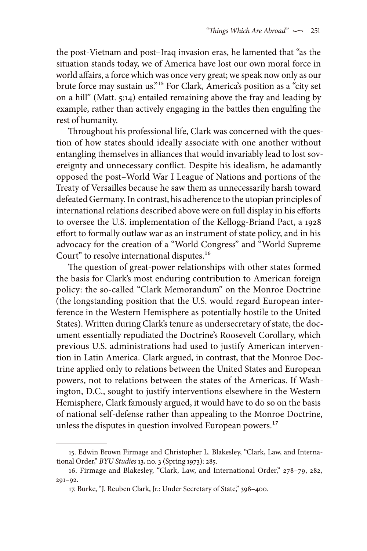the post-Vietnam and post–Iraq invasion eras, he lamented that "as the situation stands today, we of America have lost our own moral force in world affairs, a force which was once very great; we speak now only as our brute force may sustain us."15 For Clark, America's position as a "city set on a hill" (Matt. 5:14) entailed remaining above the fray and leading by example, rather than actively engaging in the battles then engulfing the rest of humanity.

Throughout his professional life, Clark was concerned with the question of how states should ideally associate with one another without entangling themselves in alliances that would invariably lead to lost sovereignty and unnecessary conflict. Despite his idealism, he adamantly opposed the post–World War I League of Nations and portions of the Treaty of Versailles because he saw them as unnecessarily harsh toward defeated Germany. In contrast, his adherence to the utopian principles of international relations described above were on full display in his efforts to oversee the U.S. implementation of the Kellogg-Briand Pact, a 1928 effort to formally outlaw war as an instrument of state policy, and in his advocacy for the creation of a "World Congress" and "World Supreme Court" to resolve international disputes.<sup>16</sup>

The question of great-power relationships with other states formed the basis for Clark's most enduring contribution to American foreign policy: the so-called "Clark Memorandum" on the Monroe Doctrine (the longstanding position that the U.S. would regard European interference in the Western Hemisphere as potentially hostile to the United States). Written during Clark's tenure as undersecretary of state, the document essentially repudiated the Doctrine's Roosevelt Corollary, which previous U.S. administrations had used to justify American intervention in Latin America. Clark argued, in contrast, that the Monroe Doctrine applied only to relations between the United States and European powers, not to relations between the states of the Americas. If Washington, D.C., sought to justify interventions elsewhere in the Western Hemisphere, Clark famously argued, it would have to do so on the basis of national self-defense rather than appealing to the Monroe Doctrine, unless the disputes in question involved European powers.<sup>17</sup>

<sup>15.</sup> Edwin Brown Firmage and Christopher L. Blakesley, "Clark, Law, and International Order," *BYU Studies* 13, no. 3 (Spring 1973): 285.

<sup>16.</sup> Firmage and Blakesley, "Clark, Law, and International Order," 278–79, 282, 291–92.

<sup>17.</sup> Burke, "J. Reuben Clark, Jr.: Under Secretary of State," 398–400.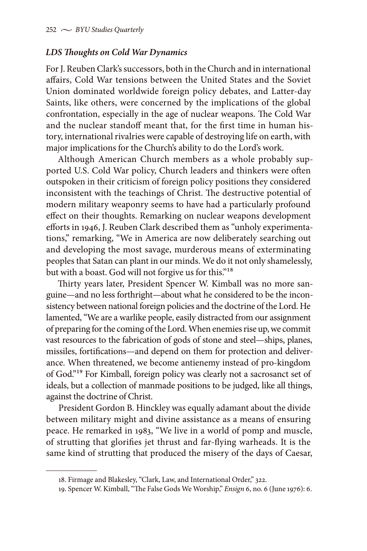## *LDS Thoughts on Cold War Dynamics*

For J. Reuben Clark's successors, both in the Church and in international affairs, Cold War tensions between the United States and the Soviet Union dominated worldwide foreign policy debates, and Latter-day Saints, like others, were concerned by the implications of the global confrontation, especially in the age of nuclear weapons. The Cold War and the nuclear standoff meant that, for the first time in human history, international rivalries were capable of destroying life on earth, with major implications for the Church's ability to do the Lord's work.

Although American Church members as a whole probably supported U.S. Cold War policy, Church leaders and thinkers were often outspoken in their criticism of foreign policy positions they considered inconsistent with the teachings of Christ. The destructive potential of modern military weaponry seems to have had a particularly profound effect on their thoughts. Remarking on nuclear weapons development efforts in 1946, J. Reuben Clark described them as "unholy experimentations," remarking, "We in America are now deliberately searching out and developing the most savage, murderous means of exterminating peoples that Satan can plant in our minds. We do it not only shamelessly, but with a boast. God will not forgive us for this."<sup>18</sup>

Thirty years later, President Spencer W. Kimball was no more sanguine—and no less forthright—about what he considered to be the inconsistency between national foreign policies and the doctrine of the Lord. He lamented, "We are a warlike people, easily distracted from our assignment of preparing for the coming of the Lord. When enemies rise up, we commit vast resources to the fabrication of gods of stone and steel—ships, planes, missiles, fortifications—and depend on them for protection and deliverance. When threatened, we become antienemy instead of pro-kingdom of God."19 For Kimball, foreign policy was clearly not a sacrosanct set of ideals, but a collection of manmade positions to be judged, like all things, against the doctrine of Christ.

President Gordon B. Hinckley was equally adamant about the divide between military might and divine assistance as a means of ensuring peace. He remarked in 1983, "We live in a world of pomp and muscle, of strutting that glorifies jet thrust and far-flying warheads. It is the same kind of strutting that produced the misery of the days of Caesar,

<sup>18.</sup> Firmage and Blakesley, "Clark, Law, and International Order," 322.

<sup>19.</sup> Spencer W. Kimball, "The False Gods We Worship," *Ensign* 6, no. 6 (June 1976): 6.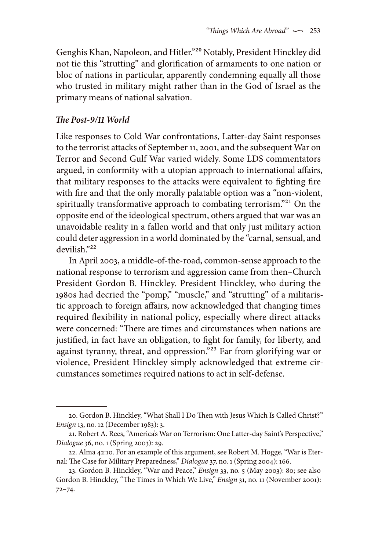Genghis Khan, Napoleon, and Hitler."20 Notably, President Hinckley did not tie this "strutting" and glorification of armaments to one nation or bloc of nations in particular, apparently condemning equally all those who trusted in military might rather than in the God of Israel as the primary means of national salvation.

# *The Post-9/11 World*

Like responses to Cold War confrontations, Latter-day Saint responses to the terrorist attacks of September 11, 2001, and the subsequent War on Terror and Second Gulf War varied widely. Some LDS commentators argued, in conformity with a utopian approach to international affairs, that military responses to the attacks were equivalent to fighting fire with fire and that the only morally palatable option was a "non-violent, spiritually transformative approach to combating terrorism."<sup>21</sup> On the opposite end of the ideological spectrum, others argued that war was an unavoidable reality in a fallen world and that only just military action could deter aggression in a world dominated by the "carnal, sensual, and devilish."22

In April 2003, a middle-of-the-road, common-sense approach to the national response to terrorism and aggression came from then–Church President Gordon B. Hinckley. President Hinckley, who during the 1980s had decried the "pomp," "muscle," and "strutting" of a militaristic approach to foreign affairs, now acknowledged that changing times required flexibility in national policy, especially where direct attacks were concerned: "There are times and circumstances when nations are justified, in fact have an obligation, to fight for family, for liberty, and against tyranny, threat, and oppression."23 Far from glorifying war or violence, President Hinckley simply acknowledged that extreme circumstances sometimes required nations to act in self-defense.

<sup>20.</sup> Gordon B. Hinckley, "What Shall I Do Then with Jesus Which Is Called Christ?" *Ensign* 13, no. 12 (December 1983): 3.

<sup>21.</sup> Robert A. Rees, "America's War on Terrorism: One Latter-day Saint's Perspective," *Dialogue* 36, no. 1 (Spring 2003): 29.

<sup>22.</sup> Alma 42:10. For an example of this argument, see Robert M. Hogge, "War is Eternal: The Case for Military Preparedness," *Dialogue* 37, no. 1 (Spring 2004): 166.

<sup>23.</sup> Gordon B. Hinckley, "War and Peace," *Ensign* 33, no. 5 (May 2003): 80; see also Gordon B. Hinckley, "The Times in Which We Live," *Ensign* 31, no. 11 (November 2001): 72–74.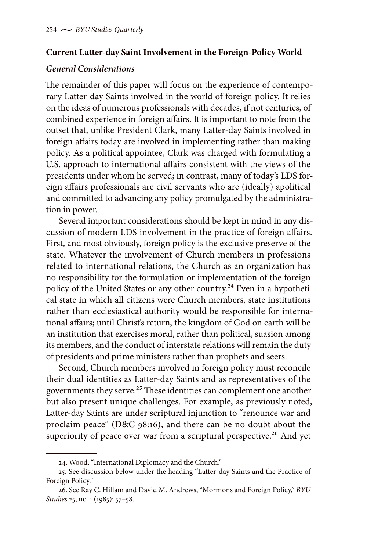### **Current Latter-day Saint Involvement in the Foreign-Policy World**

#### *General Considerations*

The remainder of this paper will focus on the experience of contemporary Latter-day Saints involved in the world of foreign policy. It relies on the ideas of numerous professionals with decades, if not centuries, of combined experience in foreign affairs. It is important to note from the outset that, unlike President Clark, many Latter-day Saints involved in foreign affairs today are involved in implementing rather than making policy. As a political appointee, Clark was charged with formulating a U.S. approach to international affairs consistent with the views of the presidents under whom he served; in contrast, many of today's LDS foreign affairs professionals are civil servants who are (ideally) apolitical and committed to advancing any policy promulgated by the administration in power.

Several important considerations should be kept in mind in any discussion of modern LDS involvement in the practice of foreign affairs. First, and most obviously, foreign policy is the exclusive preserve of the state. Whatever the involvement of Church members in professions related to international relations, the Church as an organization has no responsibility for the formulation or implementation of the foreign policy of the United States or any other country.<sup>24</sup> Even in a hypothetical state in which all citizens were Church members, state institutions rather than ecclesiastical authority would be responsible for international affairs; until Christ's return, the kingdom of God on earth will be an institution that exercises moral, rather than political, suasion among its members, and the conduct of interstate relations will remain the duty of presidents and prime ministers rather than prophets and seers.

Second, Church members involved in foreign policy must reconcile their dual identities as Latter-day Saints and as representatives of the governments they serve.<sup>25</sup> These identities can complement one another but also present unique challenges. For example, as previously noted, Latter-day Saints are under scriptural injunction to "renounce war and proclaim peace" (D&C 98:16), and there can be no doubt about the superiority of peace over war from a scriptural perspective.<sup>26</sup> And yet

<sup>24.</sup> Wood, "International Diplomacy and the Church."

<sup>25.</sup> See discussion below under the heading "Latter-day Saints and the Practice of Foreign Policy."

<sup>26.</sup> See Ray C. Hillam and David M. Andrews, "Mormons and Foreign Policy," *BYU Studies* 25, no. 1 (1985): 57–58.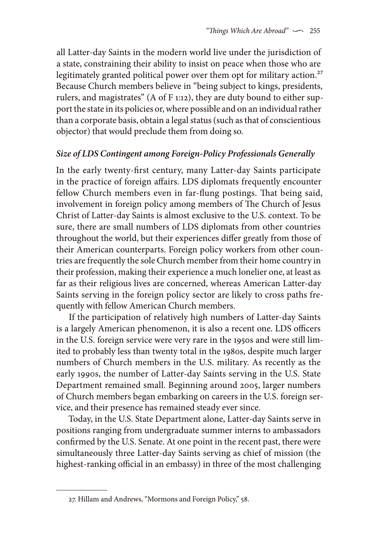all Latter-day Saints in the modern world live under the jurisdiction of a state, constraining their ability to insist on peace when those who are legitimately granted political power over them opt for military action.<sup>27</sup> Because Church members believe in "being subject to kings, presidents, rulers, and magistrates" (A of F 1:12), they are duty bound to either support the state in its policies or, where possible and on an individual rather than a corporate basis, obtain a legal status (such as that of conscientious objector) that would preclude them from doing so.

# *Size of LDS Contingent among Foreign-Policy Professionals Generally*

In the early twenty-first century, many Latter-day Saints participate in the practice of foreign affairs. LDS diplomats frequently encounter fellow Church members even in far-flung postings. That being said, involvement in foreign policy among members of The Church of Jesus Christ of Latter-day Saints is almost exclusive to the U.S. context. To be sure, there are small numbers of LDS diplomats from other countries throughout the world, but their experiences differ greatly from those of their American counterparts. Foreign policy workers from other countries are frequently the sole Church member from their home country in their profession, making their experience a much lonelier one, at least as far as their religious lives are concerned, whereas American Latter-day Saints serving in the foreign policy sector are likely to cross paths frequently with fellow American Church members.

If the participation of relatively high numbers of Latter-day Saints is a largely American phenomenon, it is also a recent one. LDS officers in the U.S. foreign service were very rare in the 1950s and were still limited to probably less than twenty total in the 1980s, despite much larger numbers of Church members in the U.S. military. As recently as the early 1990s, the number of Latter-day Saints serving in the U.S. State Department remained small. Beginning around 2005, larger numbers of Church members began embarking on careers in the U.S. foreign service, and their presence has remained steady ever since.

Today, in the U.S. State Department alone, Latter-day Saints serve in positions ranging from undergraduate summer interns to ambassadors confirmed by the U.S. Senate. At one point in the recent past, there were simultaneously three Latter-day Saints serving as chief of mission (the highest-ranking official in an embassy) in three of the most challenging

<sup>27.</sup> Hillam and Andrews, "Mormons and Foreign Policy," 58.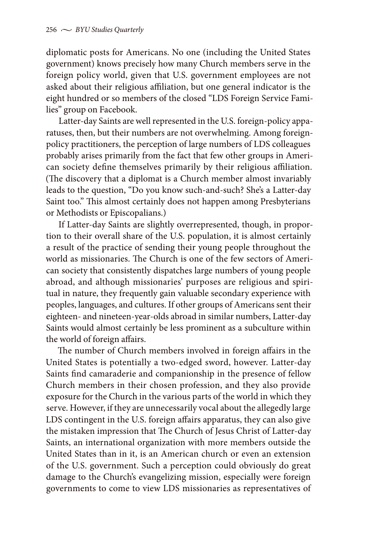diplomatic posts for Americans. No one (including the United States government) knows precisely how many Church members serve in the foreign policy world, given that U.S. government employees are not asked about their religious affiliation, but one general indicator is the eight hundred or so members of the closed "LDS Foreign Service Families" group on Facebook.

Latter-day Saints are well represented in the U.S. foreign-policy apparatuses, then, but their numbers are not overwhelming. Among foreignpolicy practitioners, the perception of large numbers of LDS colleagues probably arises primarily from the fact that few other groups in American society define themselves primarily by their religious affiliation. (The discovery that a diplomat is a Church member almost invariably leads to the question, "Do you know such-and-such? She's a Latter-day Saint too." This almost certainly does not happen among Presbyterians or Methodists or Episcopalians.)

If Latter-day Saints are slightly overrepresented, though, in proportion to their overall share of the U.S. population, it is almost certainly a result of the practice of sending their young people throughout the world as missionaries. The Church is one of the few sectors of American society that consistently dispatches large numbers of young people abroad, and although missionaries' purposes are religious and spiritual in nature, they frequently gain valuable secondary experience with peoples, languages, and cultures. If other groups of Americans sent their eighteen- and nineteen-year-olds abroad in similar numbers, Latter-day Saints would almost certainly be less prominent as a subculture within the world of foreign affairs.

The number of Church members involved in foreign affairs in the United States is potentially a two-edged sword, however. Latter-day Saints find camaraderie and companionship in the presence of fellow Church members in their chosen profession, and they also provide exposure for the Church in the various parts of the world in which they serve. However, if they are unnecessarily vocal about the allegedly large LDS contingent in the U.S. foreign affairs apparatus, they can also give the mistaken impression that The Church of Jesus Christ of Latter-day Saints, an international organization with more members outside the United States than in it, is an American church or even an extension of the U.S. government. Such a perception could obviously do great damage to the Church's evangelizing mission, especially were foreign governments to come to view LDS missionaries as representatives of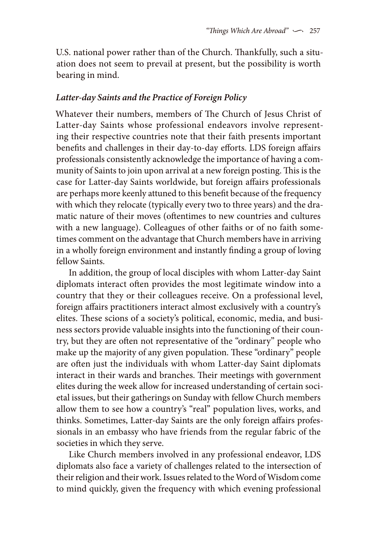U.S. national power rather than of the Church. Thankfully, such a situation does not seem to prevail at present, but the possibility is worth bearing in mind.

## *Latter-day Saints and the Practice of Foreign Policy*

Whatever their numbers, members of The Church of Jesus Christ of Latter-day Saints whose professional endeavors involve representing their respective countries note that their faith presents important benefits and challenges in their day-to-day efforts. LDS foreign affairs professionals consistently acknowledge the importance of having a community of Saints to join upon arrival at a new foreign posting. This is the case for Latter-day Saints worldwide, but foreign affairs professionals are perhaps more keenly attuned to this benefit because of the frequency with which they relocate (typically every two to three years) and the dramatic nature of their moves (oftentimes to new countries and cultures with a new language). Colleagues of other faiths or of no faith sometimes comment on the advantage that Church members have in arriving in a wholly foreign environment and instantly finding a group of loving fellow Saints.

In addition, the group of local disciples with whom Latter-day Saint diplomats interact often provides the most legitimate window into a country that they or their colleagues receive. On a professional level, foreign affairs practitioners interact almost exclusively with a country's elites. These scions of a society's political, economic, media, and business sectors provide valuable insights into the functioning of their country, but they are often not representative of the "ordinary" people who make up the majority of any given population. These "ordinary" people are often just the individuals with whom Latter-day Saint diplomats interact in their wards and branches. Their meetings with government elites during the week allow for increased understanding of certain societal issues, but their gatherings on Sunday with fellow Church members allow them to see how a country's "real" population lives, works, and thinks. Sometimes, Latter-day Saints are the only foreign affairs professionals in an embassy who have friends from the regular fabric of the societies in which they serve.

Like Church members involved in any professional endeavor, LDS diplomats also face a variety of challenges related to the intersection of their religion and their work. Issues related to the Word of Wisdom come to mind quickly, given the frequency with which evening professional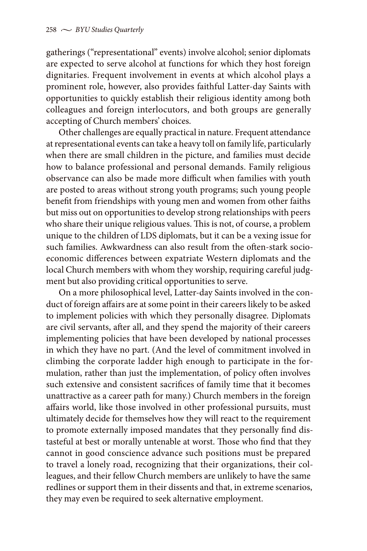gatherings ("representational" events) involve alcohol; senior diplomats are expected to serve alcohol at functions for which they host foreign dignitaries. Frequent involvement in events at which alcohol plays a prominent role, however, also provides faithful Latter-day Saints with opportunities to quickly establish their religious identity among both colleagues and foreign interlocutors, and both groups are generally accepting of Church members' choices.

Other challenges are equally practical in nature. Frequent attendance at representational events can take a heavy toll on family life, particularly when there are small children in the picture, and families must decide how to balance professional and personal demands. Family religious observance can also be made more difficult when families with youth are posted to areas without strong youth programs; such young people benefit from friendships with young men and women from other faiths but miss out on opportunities to develop strong relationships with peers who share their unique religious values. This is not, of course, a problem unique to the children of LDS diplomats, but it can be a vexing issue for such families. Awkwardness can also result from the often-stark socioeconomic differences between expatriate Western diplomats and the local Church members with whom they worship, requiring careful judgment but also providing critical opportunities to serve.

On a more philosophical level, Latter-day Saints involved in the conduct of foreign affairs are at some point in their careers likely to be asked to implement policies with which they personally disagree. Diplomats are civil servants, after all, and they spend the majority of their careers implementing policies that have been developed by national processes in which they have no part. (And the level of commitment involved in climbing the corporate ladder high enough to participate in the formulation, rather than just the implementation, of policy often involves such extensive and consistent sacrifices of family time that it becomes unattractive as a career path for many.) Church members in the foreign affairs world, like those involved in other professional pursuits, must ultimately decide for themselves how they will react to the requirement to promote externally imposed mandates that they personally find distasteful at best or morally untenable at worst. Those who find that they cannot in good conscience advance such positions must be prepared to travel a lonely road, recognizing that their organizations, their colleagues, and their fellow Church members are unlikely to have the same redlines or support them in their dissents and that, in extreme scenarios, they may even be required to seek alternative employment.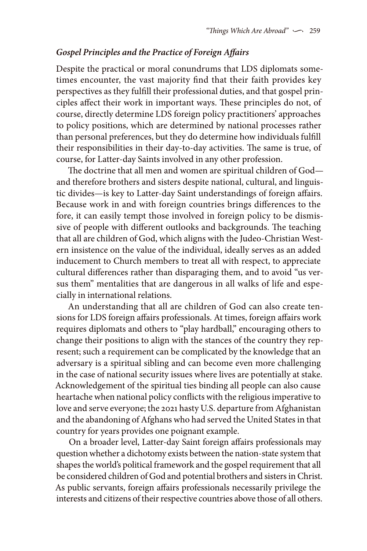#### *Gospel Principles and the Practice of Foreign Affairs*

Despite the practical or moral conundrums that LDS diplomats sometimes encounter, the vast majority find that their faith provides key perspectives as they fulfill their professional duties, and that gospel principles affect their work in important ways. These principles do not, of course, directly determine LDS foreign policy practitioners' approaches to policy positions, which are determined by national processes rather than personal preferences, but they do determine how individuals fulfill their responsibilities in their day-to-day activities. The same is true, of course, for Latter-day Saints involved in any other profession.

The doctrine that all men and women are spiritual children of God and therefore brothers and sisters despite national, cultural, and linguistic divides—is key to Latter-day Saint understandings of foreign affairs. Because work in and with foreign countries brings differences to the fore, it can easily tempt those involved in foreign policy to be dismissive of people with different outlooks and backgrounds. The teaching that all are children of God, which aligns with the Judeo-Christian Western insistence on the value of the individual, ideally serves as an added inducement to Church members to treat all with respect, to appreciate cultural differences rather than disparaging them, and to avoid "us versus them" mentalities that are dangerous in all walks of life and especially in international relations.

An understanding that all are children of God can also create tensions for LDS foreign affairs professionals. At times, foreign affairs work requires diplomats and others to "play hardball," encouraging others to change their positions to align with the stances of the country they represent; such a requirement can be complicated by the knowledge that an adversary is a spiritual sibling and can become even more challenging in the case of national security issues where lives are potentially at stake. Acknowledgement of the spiritual ties binding all people can also cause heartache when national policy conflicts with the religious imperative to love and serve everyone; the 2021 hasty U.S. departure from Afghanistan and the abandoning of Afghans who had served the United States in that country for years provides one poignant example.

On a broader level, Latter-day Saint foreign affairs professionals may question whether a dichotomy exists between the nation-state system that shapes the world's political framework and the gospel requirement that all be considered children of God and potential brothers and sisters in Christ. As public servants, foreign affairs professionals necessarily privilege the interests and citizens of their respective countries above those of all others.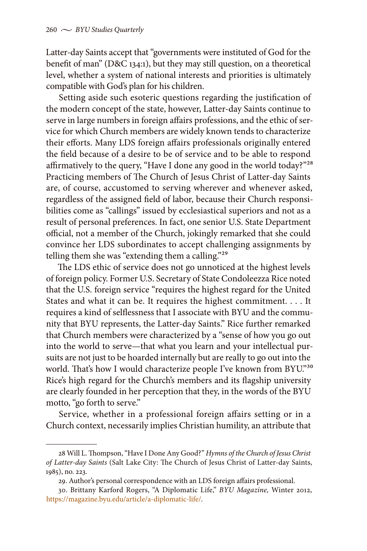Latter-day Saints accept that "governments were instituted of God for the benefit of man" (D&C 134:1), but they may still question, on a theoretical level, whether a system of national interests and priorities is ultimately compatible with God's plan for his children.

Setting aside such esoteric questions regarding the justification of the modern concept of the state, however, Latter-day Saints continue to serve in large numbers in foreign affairs professions, and the ethic of service for which Church members are widely known tends to characterize their efforts. Many LDS foreign affairs professionals originally entered the field because of a desire to be of service and to be able to respond affirmatively to the query, "Have I done any good in the world today?"28 Practicing members of The Church of Jesus Christ of Latter-day Saints are, of course, accustomed to serving wherever and whenever asked, regardless of the assigned field of labor, because their Church responsibilities come as "callings" issued by ecclesiastical superiors and not as a result of personal preferences. In fact, one senior U.S. State Department official, not a member of the Church, jokingly remarked that she could convince her LDS subordinates to accept challenging assignments by telling them she was "extending them a calling."<sup>29</sup>

The LDS ethic of service does not go unnoticed at the highest levels of foreign policy. Former U.S. Secretary of State Condoleezza Rice noted that the U.S. foreign service "requires the highest regard for the United States and what it can be. It requires the highest commitment. . . . It requires a kind of selflessness that I associate with BYU and the community that BYU represents, the Latter-day Saints." Rice further remarked that Church members were characterized by a "sense of how you go out into the world to serve—that what you learn and your intellectual pursuits are not just to be hoarded internally but are really to go out into the world. That's how I would characterize people I've known from BYU."30 Rice's high regard for the Church's members and its flagship university are clearly founded in her perception that they, in the words of the BYU motto, "go forth to serve."

Service, whether in a professional foreign affairs setting or in a Church context, necessarily implies Christian humility, an attribute that

<sup>28</sup> Will L. Thompson, "Have I Done Any Good?" *Hymns of the Church of Jesus Christ of Latter-day Saints* (Salt Lake City: The Church of Jesus Christ of Latter-day Saints, 1985), no. 223.

<sup>29.</sup> Author's personal correspondence with an LDS foreign affairs professional.

<sup>30.</sup> Brittany Karford Rogers, "A Diplomatic Life," *BYU Magazine,* Winter 2012, [https://magazine.byu.edu/article/a-diplomatic-life/.](https://magazine.byu.edu/article/a-diplomatic-life/)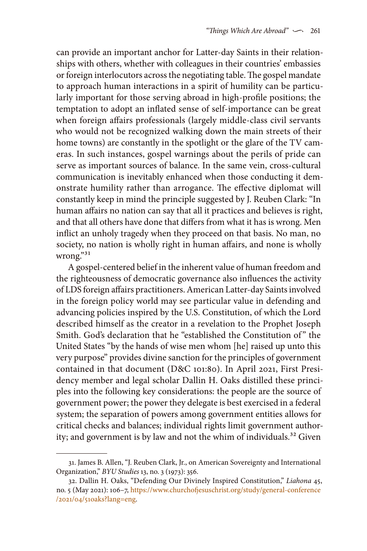can provide an important anchor for Latter-day Saints in their relationships with others, whether with colleagues in their countries' embassies or foreign interlocutors across the negotiating table. The gospel mandate to approach human interactions in a spirit of humility can be particularly important for those serving abroad in high-profile positions; the temptation to adopt an inflated sense of self-importance can be great when foreign affairs professionals (largely middle-class civil servants who would not be recognized walking down the main streets of their home towns) are constantly in the spotlight or the glare of the TV cameras. In such instances, gospel warnings about the perils of pride can serve as important sources of balance. In the same vein, cross-cultural communication is inevitably enhanced when those conducting it demonstrate humility rather than arrogance. The effective diplomat will constantly keep in mind the principle suggested by J. Reuben Clark: "In human affairs no nation can say that all it practices and believes is right, and that all others have done that differs from what it has is wrong. Men inflict an unholy tragedy when they proceed on that basis. No man, no society, no nation is wholly right in human affairs, and none is wholly wrong."31

A gospel-centered belief in the inherent value of human freedom and the righteousness of democratic governance also influences the activity of LDS foreign affairs practitioners. American Latter-day Saints involved in the foreign policy world may see particular value in defending and advancing policies inspired by the U.S. Constitution, of which the Lord described himself as the creator in a revelation to the Prophet Joseph Smith. God's declaration that he "established the Constitution of" the United States "by the hands of wise men whom [he] raised up unto this very purpose" provides divine sanction for the principles of government contained in that document (D&C 101:80). In April 2021, First Presidency member and legal scholar Dallin H. Oaks distilled these principles into the following key considerations: the people are the source of government power; the power they delegate is best exercised in a federal system; the separation of powers among government entities allows for critical checks and balances; individual rights limit government authority; and government is by law and not the whim of individuals.<sup>32</sup> Given

<sup>31.</sup> James B. Allen, "J. Reuben Clark, Jr., on American Sovereignty and International Organization," *BYU Studies* 13, no. 3 (1973): 356.

<sup>32.</sup> Dallin H. Oaks, "Defending Our Divinely Inspired Constitution," *Liahona* 45, no. 5 (May 2021): 106–7, [https://www.churchofjesuschrist.org/study/general-conference](https://www.churchofjesuschrist.org/study/general-conference/2021/04/51oaks?lang=eng) [/2021/04/51oaks?lang=eng.](https://www.churchofjesuschrist.org/study/general-conference/2021/04/51oaks?lang=eng)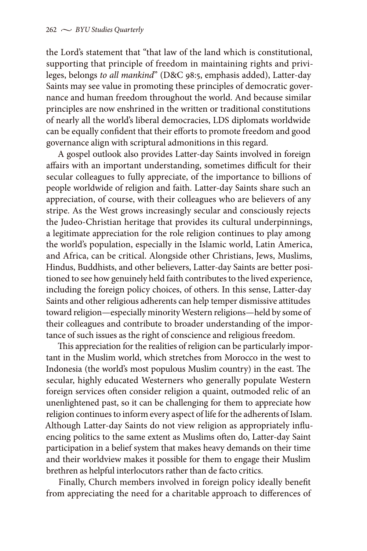the Lord's statement that "that law of the land which is constitutional, supporting that principle of freedom in maintaining rights and privileges, belongs *to all mankind*" (D&C 98:5, emphasis added), Latter-day Saints may see value in promoting these principles of democratic governance and human freedom throughout the world. And because similar principles are now enshrined in the written or traditional constitutions of nearly all the world's liberal democracies, LDS diplomats worldwide can be equally confident that their efforts to promote freedom and good governance align with scriptural admonitions in this regard.

A gospel outlook also provides Latter-day Saints involved in foreign affairs with an important understanding, sometimes difficult for their secular colleagues to fully appreciate, of the importance to billions of people worldwide of religion and faith. Latter-day Saints share such an appreciation, of course, with their colleagues who are believers of any stripe. As the West grows increasingly secular and consciously rejects the Judeo-Christian heritage that provides its cultural underpinnings, a legitimate appreciation for the role religion continues to play among the world's population, especially in the Islamic world, Latin America, and Africa, can be critical. Alongside other Christians, Jews, Muslims, Hindus, Buddhists, and other believers, Latter-day Saints are better positioned to see how genuinely held faith contributes to the lived experience, including the foreign policy choices, of others. In this sense, Latter-day Saints and other religious adherents can help temper dismissive attitudes toward religion—especially minority Western religions—held by some of their colleagues and contribute to broader understanding of the importance of such issues as the right of conscience and religious freedom.

This appreciation for the realities of religion can be particularly important in the Muslim world, which stretches from Morocco in the west to Indonesia (the world's most populous Muslim country) in the east. The secular, highly educated Westerners who generally populate Western foreign services often consider religion a quaint, outmoded relic of an unenlightened past, so it can be challenging for them to appreciate how religion continues to inform every aspect of life for the adherents of Islam. Although Latter-day Saints do not view religion as appropriately influencing politics to the same extent as Muslims often do, Latter-day Saint participation in a belief system that makes heavy demands on their time and their worldview makes it possible for them to engage their Muslim brethren as helpful interlocutors rather than de facto critics.

Finally, Church members involved in foreign policy ideally benefit from appreciating the need for a charitable approach to differences of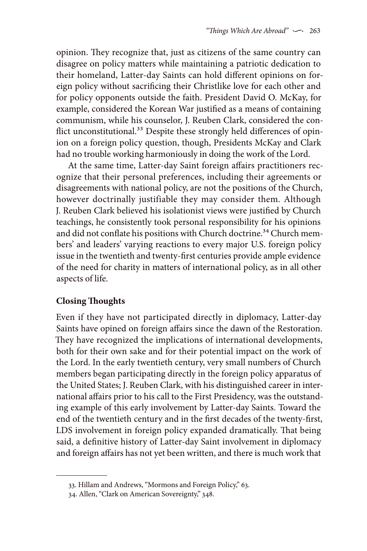opinion. They recognize that, just as citizens of the same country can disagree on policy matters while maintaining a patriotic dedication to their homeland, Latter-day Saints can hold different opinions on foreign policy without sacrificing their Christlike love for each other and for policy opponents outside the faith. President David O. McKay, for example, considered the Korean War justified as a means of containing communism, while his counselor, J. Reuben Clark, considered the conflict unconstitutional.<sup>33</sup> Despite these strongly held differences of opinion on a foreign policy question, though, Presidents McKay and Clark had no trouble working harmoniously in doing the work of the Lord.

At the same time, Latter-day Saint foreign affairs practitioners recognize that their personal preferences, including their agreements or disagreements with national policy, are not the positions of the Church, however doctrinally justifiable they may consider them. Although J. Reuben Clark believed his isolationist views were justified by Church teachings, he consistently took personal responsibility for his opinions and did not conflate his positions with Church doctrine.<sup>34</sup> Church members' and leaders' varying reactions to every major U.S. foreign policy issue in the twentieth and twenty-first centuries provide ample evidence of the need for charity in matters of international policy, as in all other aspects of life.

# **Closing Thoughts**

Even if they have not participated directly in diplomacy, Latter-day Saints have opined on foreign affairs since the dawn of the Restoration. They have recognized the implications of international developments, both for their own sake and for their potential impact on the work of the Lord. In the early twentieth century, very small numbers of Church members began participating directly in the foreign policy apparatus of the United States; J. Reuben Clark, with his distinguished career in international affairs prior to his call to the First Presidency, was the outstanding example of this early involvement by Latter-day Saints. Toward the end of the twentieth century and in the first decades of the twenty-first, LDS involvement in foreign policy expanded dramatically. That being said, a definitive history of Latter-day Saint involvement in diplomacy and foreign affairs has not yet been written, and there is much work that

<sup>33.</sup> Hillam and Andrews, "Mormons and Foreign Policy," 63.

<sup>34.</sup> Allen, "Clark on American Sovereignty," 348.